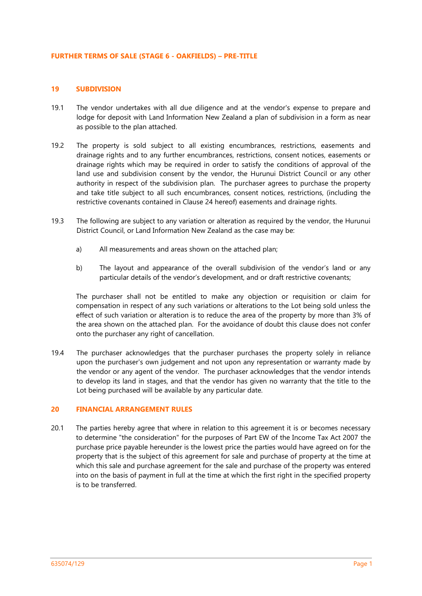#### **FURTHER TERMS OF SALE (STAGE 6 - OAKFIELDS) – PRE-TITLE**

### **19 SUBDIVISION**

- 19.1 The vendor undertakes with all due diligence and at the vendor's expense to prepare and lodge for deposit with Land Information New Zealand a plan of subdivision in a form as near as possible to the plan attached.
- 19.2 The property is sold subject to all existing encumbrances, restrictions, easements and drainage rights and to any further encumbrances, restrictions, consent notices, easements or drainage rights which may be required in order to satisfy the conditions of approval of the land use and subdivision consent by the vendor, the Hurunui District Council or any other authority in respect of the subdivision plan. The purchaser agrees to purchase the property and take title subject to all such encumbrances, consent notices, restrictions, (including the restrictive covenants contained in Clause 24 hereof) easements and drainage rights.
- 19.3 The following are subject to any variation or alteration as required by the vendor, the Hurunui District Council, or Land Information New Zealand as the case may be:
	- a) All measurements and areas shown on the attached plan;
	- b) The layout and appearance of the overall subdivision of the vendor's land or any particular details of the vendor's development, and or draft restrictive covenants;

The purchaser shall not be entitled to make any objection or requisition or claim for compensation in respect of any such variations or alterations to the Lot being sold unless the effect of such variation or alteration is to reduce the area of the property by more than 3% of the area shown on the attached plan. For the avoidance of doubt this clause does not confer onto the purchaser any right of cancellation.

19.4 The purchaser acknowledges that the purchaser purchases the property solely in reliance upon the purchaser's own judgement and not upon any representation or warranty made by the vendor or any agent of the vendor. The purchaser acknowledges that the vendor intends to develop its land in stages, and that the vendor has given no warranty that the title to the Lot being purchased will be available by any particular date.

### **20 FINANCIAL ARRANGEMENT RULES**

20.1 The parties hereby agree that where in relation to this agreement it is or becomes necessary to determine "the consideration" for the purposes of Part EW of the Income Tax Act 2007 the purchase price payable hereunder is the lowest price the parties would have agreed on for the property that is the subject of this agreement for sale and purchase of property at the time at which this sale and purchase agreement for the sale and purchase of the property was entered into on the basis of payment in full at the time at which the first right in the specified property is to be transferred.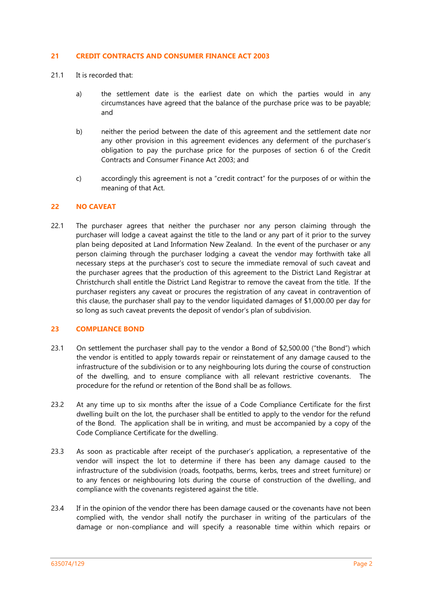### **21 CREDIT CONTRACTS AND CONSUMER FINANCE ACT 2003**

- 21.1 It is recorded that:
	- a) the settlement date is the earliest date on which the parties would in any circumstances have agreed that the balance of the purchase price was to be payable; and
	- b) neither the period between the date of this agreement and the settlement date nor any other provision in this agreement evidences any deferment of the purchaser's obligation to pay the purchase price for the purposes of section 6 of the Credit Contracts and Consumer Finance Act 2003; and
	- c) accordingly this agreement is not a "credit contract" for the purposes of or within the meaning of that Act.

### **22 NO CAVEAT**

22.1 The purchaser agrees that neither the purchaser nor any person claiming through the purchaser will lodge a caveat against the title to the land or any part of it prior to the survey plan being deposited at Land Information New Zealand. In the event of the purchaser or any person claiming through the purchaser lodging a caveat the vendor may forthwith take all necessary steps at the purchaser's cost to secure the immediate removal of such caveat and the purchaser agrees that the production of this agreement to the District Land Registrar at Christchurch shall entitle the District Land Registrar to remove the caveat from the title. If the purchaser registers any caveat or procures the registration of any caveat in contravention of this clause, the purchaser shall pay to the vendor liquidated damages of \$1,000.00 per day for so long as such caveat prevents the deposit of vendor's plan of subdivision.

# **23 COMPLIANCE BOND**

- 23.1 On settlement the purchaser shall pay to the vendor a Bond of \$2,500.00 ("the Bond") which the vendor is entitled to apply towards repair or reinstatement of any damage caused to the infrastructure of the subdivision or to any neighbouring lots during the course of construction of the dwelling, and to ensure compliance with all relevant restrictive covenants. The procedure for the refund or retention of the Bond shall be as follows.
- 23.2 At any time up to six months after the issue of a Code Compliance Certificate for the first dwelling built on the lot, the purchaser shall be entitled to apply to the vendor for the refund of the Bond. The application shall be in writing, and must be accompanied by a copy of the Code Compliance Certificate for the dwelling.
- 23.3 As soon as practicable after receipt of the purchaser's application, a representative of the vendor will inspect the lot to determine if there has been any damage caused to the infrastructure of the subdivision (roads, footpaths, berms, kerbs, trees and street furniture) or to any fences or neighbouring lots during the course of construction of the dwelling, and compliance with the covenants registered against the title.
- 23.4 If in the opinion of the vendor there has been damage caused or the covenants have not been complied with, the vendor shall notify the purchaser in writing of the particulars of the damage or non-compliance and will specify a reasonable time within which repairs or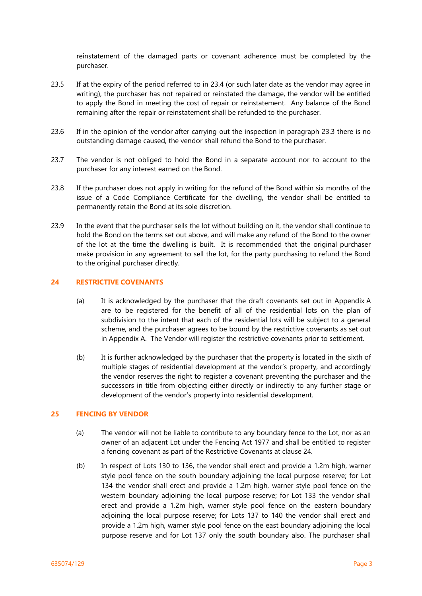reinstatement of the damaged parts or covenant adherence must be completed by the purchaser.

- 23.5 If at the expiry of the period referred to in 23.4 (or such later date as the vendor may agree in writing), the purchaser has not repaired or reinstated the damage, the vendor will be entitled to apply the Bond in meeting the cost of repair or reinstatement. Any balance of the Bond remaining after the repair or reinstatement shall be refunded to the purchaser.
- 23.6 If in the opinion of the vendor after carrying out the inspection in paragraph 23.3 there is no outstanding damage caused, the vendor shall refund the Bond to the purchaser.
- 23.7 The vendor is not obliged to hold the Bond in a separate account nor to account to the purchaser for any interest earned on the Bond.
- 23.8 If the purchaser does not apply in writing for the refund of the Bond within six months of the issue of a Code Compliance Certificate for the dwelling, the vendor shall be entitled to permanently retain the Bond at its sole discretion.
- 23.9 In the event that the purchaser sells the lot without building on it, the vendor shall continue to hold the Bond on the terms set out above, and will make any refund of the Bond to the owner of the lot at the time the dwelling is built. It is recommended that the original purchaser make provision in any agreement to sell the lot, for the party purchasing to refund the Bond to the original purchaser directly.

## **24 RESTRICTIVE COVENANTS**

- (a) It is acknowledged by the purchaser that the draft covenants set out in Appendix A are to be registered for the benefit of all of the residential lots on the plan of subdivision to the intent that each of the residential lots will be subject to a general scheme, and the purchaser agrees to be bound by the restrictive covenants as set out in Appendix A. The Vendor will register the restrictive covenants prior to settlement.
- (b) It is further acknowledged by the purchaser that the property is located in the sixth of multiple stages of residential development at the vendor's property, and accordingly the vendor reserves the right to register a covenant preventing the purchaser and the successors in title from objecting either directly or indirectly to any further stage or development of the vendor's property into residential development.

# **25 FENCING BY VENDOR**

- (a) The vendor will not be liable to contribute to any boundary fence to the Lot, nor as an owner of an adjacent Lot under the Fencing Act 1977 and shall be entitled to register a fencing covenant as part of the Restrictive Covenants at clause 24.
- (b) In respect of Lots 130 to 136, the vendor shall erect and provide a 1.2m high, warner style pool fence on the south boundary adjoining the local purpose reserve; for Lot 134 the vendor shall erect and provide a 1.2m high, warner style pool fence on the western boundary adjoining the local purpose reserve; for Lot 133 the vendor shall erect and provide a 1.2m high, warner style pool fence on the eastern boundary adjoining the local purpose reserve; for Lots 137 to 140 the vendor shall erect and provide a 1.2m high, warner style pool fence on the east boundary adjoining the local purpose reserve and for Lot 137 only the south boundary also. The purchaser shall